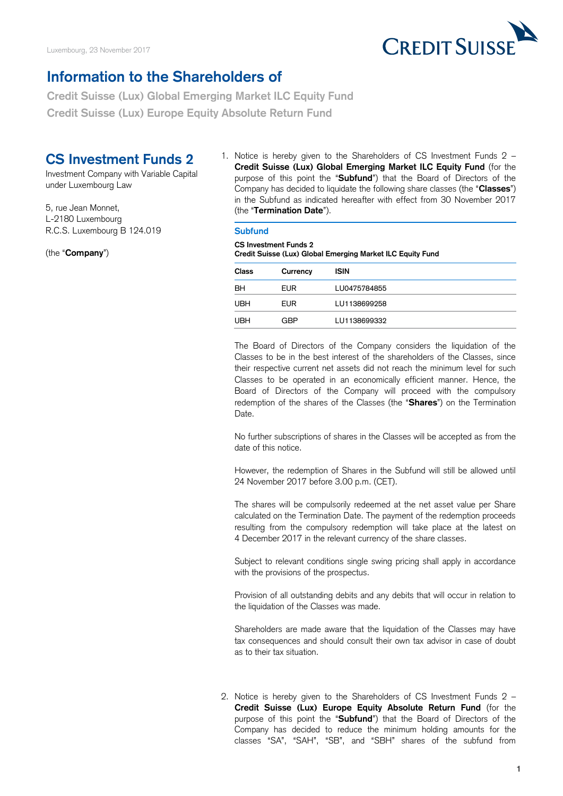

## **Information to the Shareholders of**

**Credit Suisse (Lux) Global Emerging Market ILC Equity Fund Credit Suisse (Lux) Europe Equity Absolute Return Fund** 

5, rue Jean Monnet, (the "**Termination Date**"). L-2180 Luxembourg R.C.S. Luxembourg B 124.019 **Subfund** 

1. Notice is hereby given to the Shareholders of CS Investment Funds 2 purpose of this point the "Subfund") that the Board of Directors of the in the Subfund as indicated hereafter with effect from 30 November 2017 **CS Investment Funds 2** <sup>1.</sup> Notice is hereby given to the Shareholders of CS Investment Funds 2 – **Credit Suisse (Lux) Global Emerging Market ILC Equity Fund** (for the purpose of this point the "**Subfund**") that the Board under Luxembourg Law Company has decided to liquidate the following share classes (the "**Classes**")

## (the "**Company**") **Credit Suisse (Lux) Global Emerging Market ILC Equity Fund CS Investment Funds 2**

| Class | Currency   | <b>ISIN</b>  |
|-------|------------|--------------|
| BН    | <b>EUR</b> | LU0475784855 |
| UBH   | <b>EUR</b> | LU1138699258 |
| UBH   | GBP        | LU1138699332 |

 The Board of Directors of the Company considers the liquidation of the Classes to be in the best interest of the shareholders of the Classes, since their respective current net assets did not reach the minimum level for such Classes to be operated in an economically efficient manner. Hence, the Board of Directors of the Company will proceed with the compulsory redemption of the shares of the Classes (the "**Shares**") on the Termination Date.

 No further subscriptions of shares in the Classes will be accepted as from the date of this notice.

 However, the redemption of Shares in the Subfund will still be allowed until 24 November 2017 before 3.00 p.m. (CET).

 The shares will be compulsorily redeemed at the net asset value per Share resulting from the compulsory redemption will take place at the latest on calculated on the Termination Date. The payment of the redemption proceeds 4 December 2017 in the relevant currency of the share classes.

 Subject to relevant conditions single swing pricing shall apply in accordance with the provisions of the prospectus.

 Provision of all outstanding debits and any debits that will occur in relation to the liquidation of the Classes was made.

 Shareholders are made aware that the liquidation of the Classes may have tax consequences and should consult their own tax advisor in case of doubt as to their tax situation.

 2. Notice is hereby given to the Shareholders of CS Investment Funds 2 – **Credit Suisse (Lux) Europe Equity Absolute Return Fund** (for the purpose of this point the "**Subfund**") that the Board of Directors of the Company has decided to reduce the minimum holding amounts for the classes "SA", "SAH", "SB", and "SBH" shares of the subfund from